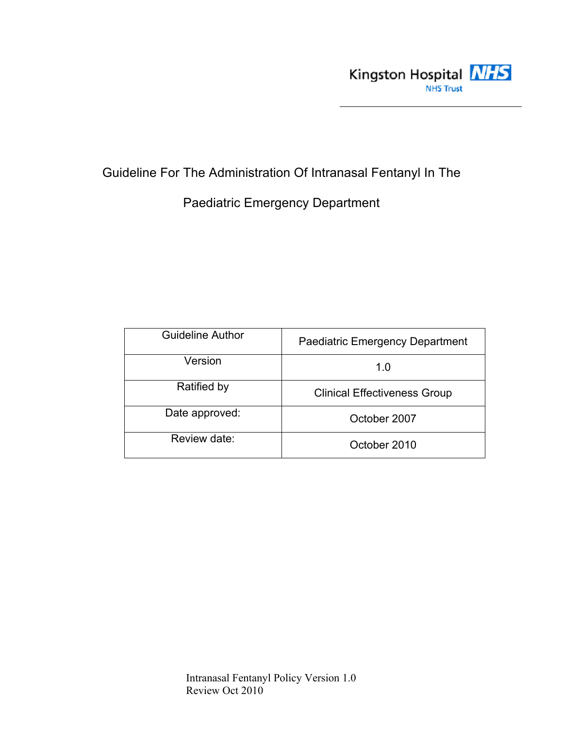

Guideline For The Administration Of Intranasal Fentanyl In The

Paediatric Emergency Department

| <b>Guideline Author</b> | <b>Paediatric Emergency Department</b> |
|-------------------------|----------------------------------------|
| Version                 | 1.0                                    |
| Ratified by             | <b>Clinical Effectiveness Group</b>    |
| Date approved:          | October 2007                           |
| Review date:            | October 2010                           |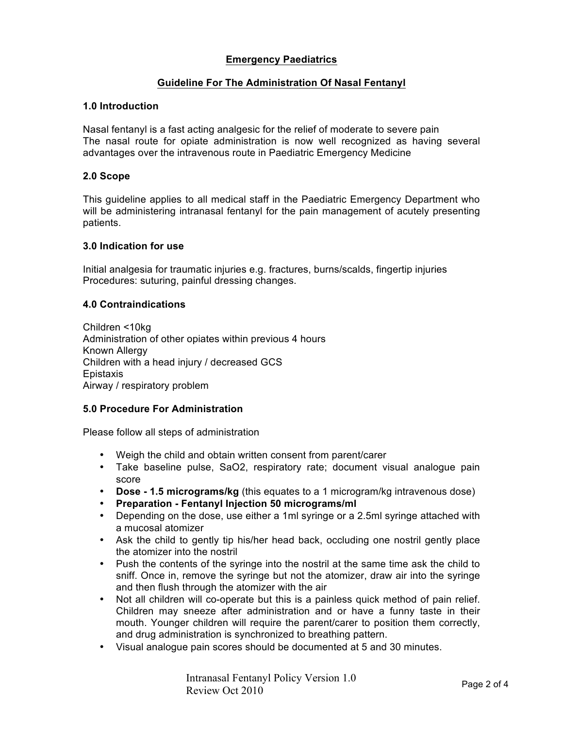# **Emergency Paediatrics**

# **Guideline For The Administration Of Nasal Fentanyl**

## **1.0 Introduction**

Nasal fentanyl is a fast acting analgesic for the relief of moderate to severe pain The nasal route for opiate administration is now well recognized as having several advantages over the intravenous route in Paediatric Emergency Medicine

## **2.0 Scope**

This guideline applies to all medical staff in the Paediatric Emergency Department who will be administering intranasal fentanyl for the pain management of acutely presenting patients.

#### **3.0 Indication for use**

Initial analgesia for traumatic injuries e.g. fractures, burns/scalds, fingertip injuries Procedures: suturing, painful dressing changes.

## **4.0 Contraindications**

Children <10kg Administration of other opiates within previous 4 hours Known Allergy Children with a head injury / decreased GCS Epistaxis Airway / respiratory problem

#### **5.0 Procedure For Administration**

Please follow all steps of administration

- Weigh the child and obtain written consent from parent/carer
- Take baseline pulse, SaO2, respiratory rate; document visual analogue pain score
- **Dose - 1.5 micrograms/kg** (this equates to a 1 microgram/kg intravenous dose)
- **Preparation - Fentanyl Injection 50 micrograms/ml**
- Depending on the dose, use either a 1ml syringe or a 2.5ml syringe attached with a mucosal atomizer
- Ask the child to gently tip his/her head back, occluding one nostril gently place the atomizer into the nostril
- Push the contents of the syringe into the nostril at the same time ask the child to sniff. Once in, remove the syringe but not the atomizer, draw air into the syringe and then flush through the atomizer with the air
- Not all children will co-operate but this is a painless quick method of pain relief. Children may sneeze after administration and or have a funny taste in their mouth. Younger children will require the parent/carer to position them correctly, and drug administration is synchronized to breathing pattern.
- Visual analogue pain scores should be documented at 5 and 30 minutes.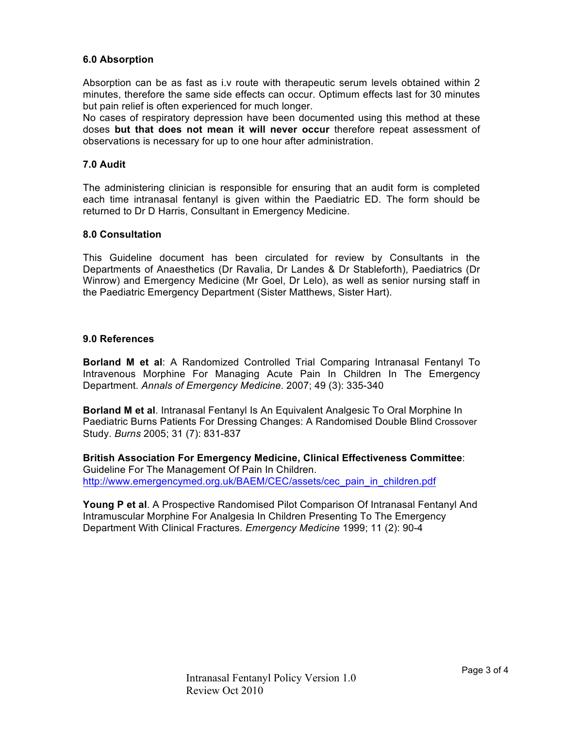## **6.0 Absorption**

Absorption can be as fast as i.v route with therapeutic serum levels obtained within 2 minutes, therefore the same side effects can occur. Optimum effects last for 30 minutes but pain relief is often experienced for much longer.

No cases of respiratory depression have been documented using this method at these doses **but that does not mean it will never occur** therefore repeat assessment of observations is necessary for up to one hour after administration.

#### **7.0 Audit**

The administering clinician is responsible for ensuring that an audit form is completed each time intranasal fentanyl is given within the Paediatric ED. The form should be returned to Dr D Harris, Consultant in Emergency Medicine.

#### **8.0 Consultation**

This Guideline document has been circulated for review by Consultants in the Departments of Anaesthetics (Dr Ravalia, Dr Landes & Dr Stableforth), Paediatrics (Dr Winrow) and Emergency Medicine (Mr Goel, Dr Lelo), as well as senior nursing staff in the Paediatric Emergency Department (Sister Matthews, Sister Hart).

#### **9.0 References**

**Borland M et al**: A Randomized Controlled Trial Comparing Intranasal Fentanyl To Intravenous Morphine For Managing Acute Pain In Children In The Emergency Department. *Annals of Emergency Medicine*. 2007; 49 (3): 335-340

**Borland M et al**. Intranasal Fentanyl Is An Equivalent Analgesic To Oral Morphine In Paediatric Burns Patients For Dressing Changes: A Randomised Double Blind Crossover Study. *Burns* 2005; 31 (7): 831-837

**British Association For Emergency Medicine, Clinical Effectiveness Committee**: Guideline For The Management Of Pain In Children. http://www.emergencymed.org.uk/BAEM/CEC/assets/cec\_pain\_in\_children.pdf

**Young P et al**. A Prospective Randomised Pilot Comparison Of Intranasal Fentanyl And Intramuscular Morphine For Analgesia In Children Presenting To The Emergency Department With Clinical Fractures. *Emergency Medicine* 1999; 11 (2): 90-4